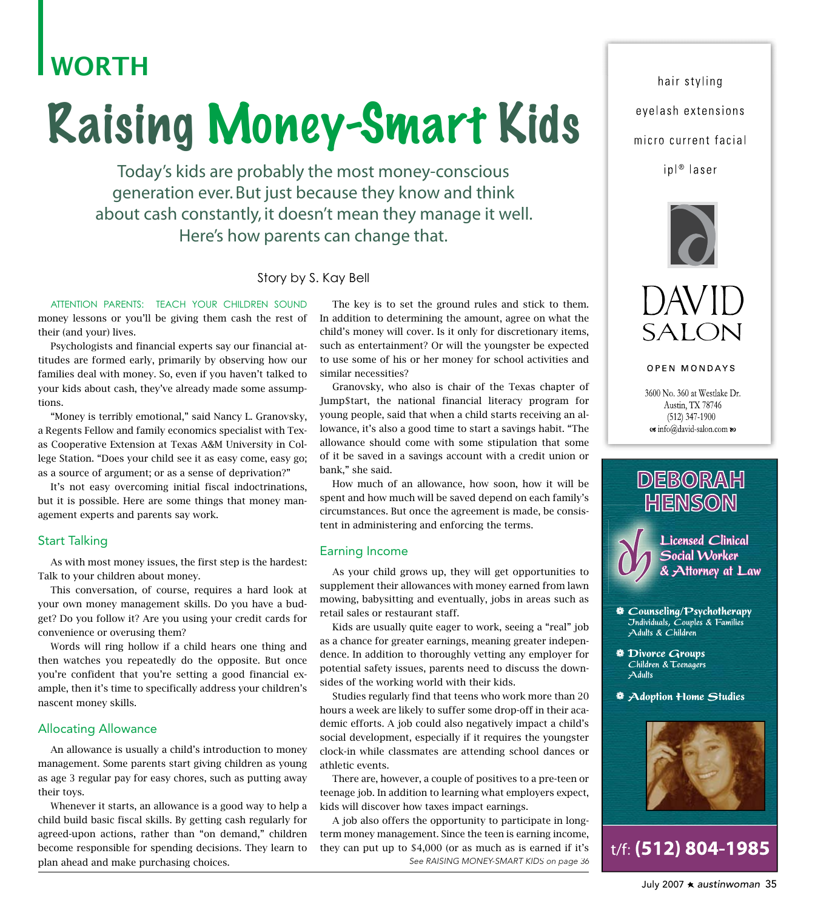## **WORTH**

# **Raising Money-Smart Kids**

Today's kids are probably the most money-conscious generation ever. But just because they know and think about cash constantly, it doesn't mean they manage it well. Here's how parents can change that.

#### Story by S. Kay Bell

ATTENTION PARENTS: TEACH YOUR CHILDREN SOUND money lessons or you'll be giving them cash the rest of their (and your) lives.

Psychologists and financial experts say our financial attitudes are formed early, primarily by observing how our families deal with money. So, even if you haven't talked to your kids about cash, they've already made some assumptions.

"Money is terribly emotional," said Nancy L. Granovsky, a Regents Fellow and family economics specialist with Texas Cooperative Extension at Texas A&M University in College Station. "Does your child see it as easy come, easy go; as a source of argument; or as a sense of deprivation?"

It's not easy overcoming initial fiscal indoctrinations, but it is possible. Here are some things that money management experts and parents say work.

#### **Start Talking**

As with most money issues, the first step is the hardest: Talk to your children about money.

This conversation, of course, requires a hard look at your own money management skills. Do you have a budget? Do you follow it? Are you using your credit cards for convenience or overusing them?

Words will ring hollow if a child hears one thing and then watches you repeatedly do the opposite. But once you're confident that you're setting a good financial example, then it's time to specifically address your children's nascent money skills.

#### **Allocating Allowance**

An allowance is usually a child's introduction to money management. Some parents start giving children as young as age 3 regular pay for easy chores, such as putting away their toys.

Whenever it starts, an allowance is a good way to help a child build basic fiscal skills. By getting cash regularly for agreed-upon actions, rather than "on demand," children become responsible for spending decisions. They learn to plan ahead and make purchasing choices.

The key is to set the ground rules and stick to them. In addition to determining the amount, agree on what the child's money will cover. Is it only for discretionary items, such as entertainment? Or will the youngster be expected to use some of his or her money for school activities and similar necessities?

Granovsky, who also is chair of the Texas chapter of Jump\$tart, the national financial literacy program for young people, said that when a child starts receiving an allowance, it's also a good time to start a savings habit. "The allowance should come with some stipulation that some of it be saved in a savings account with a credit union or bank," she said.

How much of an allowance, how soon, how it will be spent and how much will be saved depend on each family's circumstances. But once the agreement is made, be consistent in administering and enforcing the terms.

#### Earning Income

As your child grows up, they will get opportunities to supplement their allowances with money earned from lawn mowing, babysitting and eventually, jobs in areas such as retail sales or restaurant staff.

Kids are usually quite eager to work, seeing a "real" job as a chance for greater earnings, meaning greater independence. In addition to thoroughly vetting any employer for potential safety issues, parents need to discuss the downsides of the working world with their kids.

Studies regularly find that teens who work more than 20 hours a week are likely to suffer some drop-off in their academic efforts. A job could also negatively impact a child's social development, especially if it requires the youngster clock-in while classmates are attending school dances or athletic events.

There are, however, a couple of positives to a pre-teen or teenage job. In addition to learning what employers expect, kids will discover how taxes impact earnings.

A job also offers the opportunity to participate in longterm money management. Since the teen is earning income, they can put up to \$4,000 (or as much as is earned if it's See RAISING MONEY-SMART KIDS on page 36

hair styling eyelash extensions micro current facial

ipl<sup>®</sup> laser





**OPEN MONDAYS** 

3600 No. 360 at Westlake Dr. Austin, TX 78746  $(512)$  347-1900 os info@david-salon.com @





**Example 20** Counseling/Psychotherapy Jndividuals, Couples & Families Adults & Children

- **Divorce Groups** Children & Teenagers  $A$ dults
- **Adoption Home Studies**



t/f: (512) 804-1985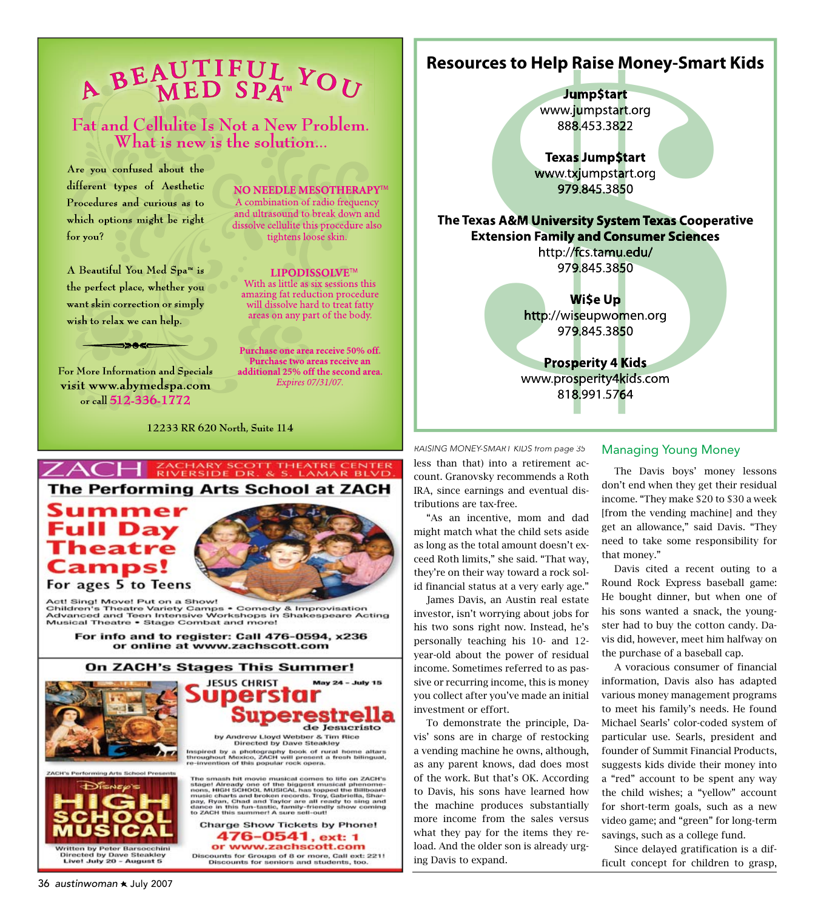